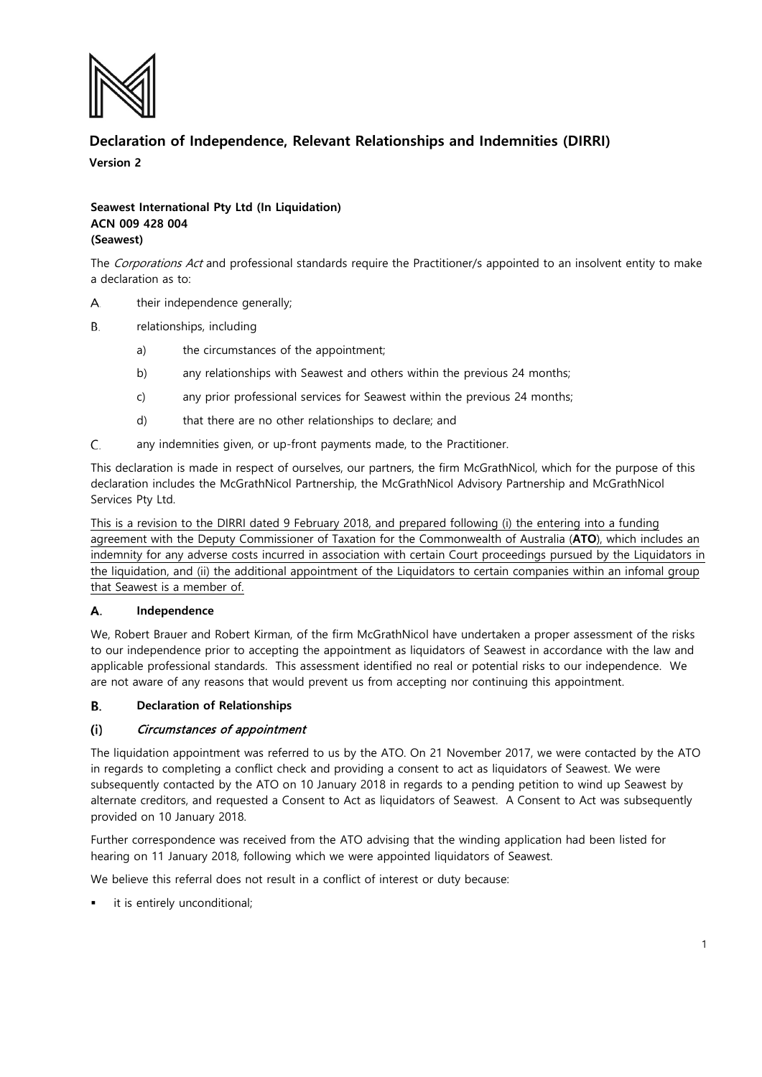

# **Declaration of Independence, Relevant Relationships and Indemnities (DIRRI)**

**Version 2**

# **Seawest International Pty Ltd (In Liquidation) ACN 009 428 004 (Seawest)**

The Corporations Act and professional standards require the Practitioner/s appointed to an insolvent entity to make a declaration as to:

- A. their independence generally;
- **B.** relationships, including
	- a) the circumstances of the appointment;
	- b) any relationships with Seawest and others within the previous 24 months;
	- c) any prior professional services for Seawest within the previous 24 months;
	- d) that there are no other relationships to declare; and
- C. any indemnities given, or up-front payments made, to the Practitioner.

This declaration is made in respect of ourselves, our partners, the firm McGrathNicol, which for the purpose of this declaration includes the McGrathNicol Partnership, the McGrathNicol Advisory Partnership and McGrathNicol Services Pty Ltd.

This is a revision to the DIRRI dated 9 February 2018, and prepared following (i) the entering into a funding agreement with the Deputy Commissioner of Taxation for the Commonwealth of Australia (**ATO**), which includes an indemnity for any adverse costs incurred in association with certain Court proceedings pursued by the Liquidators in the liquidation, and (ii) the additional appointment of the Liquidators to certain companies within an infomal group that Seawest is a member of.

### А. **Independence**

We, Robert Brauer and Robert Kirman, of the firm McGrathNicol have undertaken a proper assessment of the risks to our independence prior to accepting the appointment as liquidators of Seawest in accordance with the law and applicable professional standards. This assessment identified no real or potential risks to our independence. We are not aware of any reasons that would prevent us from accepting nor continuing this appointment.

### **Declaration of Relationships** В.

# Circumstances of appointment  $(i)$

The liquidation appointment was referred to us by the ATO. On 21 November 2017, we were contacted by the ATO in regards to completing a conflict check and providing a consent to act as liquidators of Seawest. We were subsequently contacted by the ATO on 10 January 2018 in regards to a pending petition to wind up Seawest by alternate creditors, and requested a Consent to Act as liquidators of Seawest. A Consent to Act was subsequently provided on 10 January 2018.

Further correspondence was received from the ATO advising that the winding application had been listed for hearing on 11 January 2018, following which we were appointed liquidators of Seawest.

We believe this referral does not result in a conflict of interest or duty because:

it is entirely unconditional;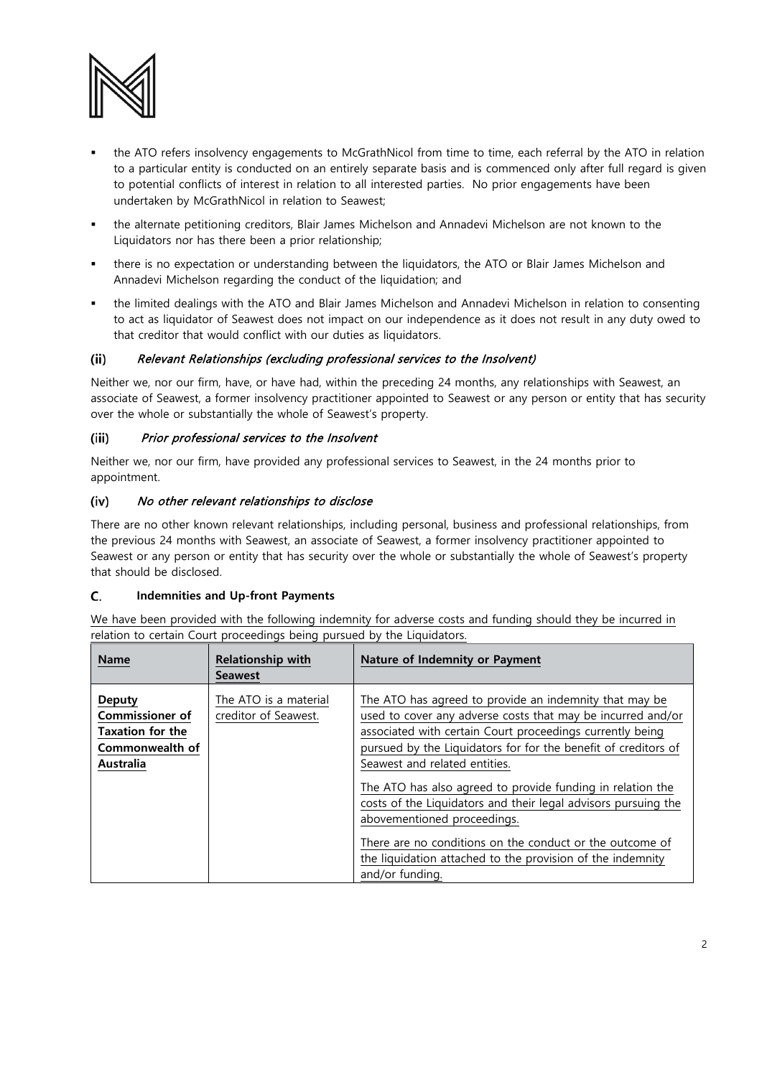

- the ATO refers insolvency engagements to McGrathNicol from time to time, each referral by the ATO in relation to a particular entity is conducted on an entirely separate basis and is commenced only after full regard is given to potential conflicts of interest in relation to all interested parties. No prior engagements have been undertaken by McGrathNicol in relation to Seawest;
- the alternate petitioning creditors, Blair James Michelson and Annadevi Michelson are not known to the Liquidators nor has there been a prior relationship;
- there is no expectation or understanding between the liquidators, the ATO or Blair James Michelson and Annadevi Michelson regarding the conduct of the liquidation; and
- the limited dealings with the ATO and Blair James Michelson and Annadevi Michelson in relation to consenting to act as liquidator of Seawest does not impact on our independence as it does not result in any duty owed to that creditor that would conflict with our duties as liquidators.

# $(ii)$ Relevant Relationships (excluding professional services to the Insolvent)

Neither we, nor our firm, have, or have had, within the preceding 24 months, any relationships with Seawest, an associate of Seawest, a former insolvency practitioner appointed to Seawest or any person or entity that has security over the whole or substantially the whole of Seawest's property.

# Prior professional services to the Insolvent (iii)

Neither we, nor our firm, have provided any professional services to Seawest, in the 24 months prior to appointment.

# No other relevant relationships to disclose (iv)

There are no other known relevant relationships, including personal, business and professional relationships, from the previous 24 months with Seawest, an associate of Seawest, a former insolvency practitioner appointed to Seawest or any person or entity that has security over the whole or substantially the whole of Seawest's property that should be disclosed.

# C. **Indemnities and Up-front Payments**

We have been provided with the following indemnity for adverse costs and funding should they be incurred in relation to certain Court proceedings being pursued by the Liquidators.

| <b>Name</b>                                                                                        | <b>Relationship with</b><br><b>Seawest</b>    | Nature of Indemnity or Payment                                                                                                                                                                                                                                                                                                                                                                                                                                                                                                                                                                    |
|----------------------------------------------------------------------------------------------------|-----------------------------------------------|---------------------------------------------------------------------------------------------------------------------------------------------------------------------------------------------------------------------------------------------------------------------------------------------------------------------------------------------------------------------------------------------------------------------------------------------------------------------------------------------------------------------------------------------------------------------------------------------------|
| Deputy<br><b>Commissioner of</b><br><b>Taxation for the</b><br>Commonwealth of<br><b>Australia</b> | The ATO is a material<br>creditor of Seawest. | The ATO has agreed to provide an indemnity that may be<br>used to cover any adverse costs that may be incurred and/or<br>associated with certain Court proceedings currently being<br>pursued by the Liquidators for for the benefit of creditors of<br>Seawest and related entities.<br>The ATO has also agreed to provide funding in relation the<br>costs of the Liquidators and their legal advisors pursuing the<br>abovementioned proceedings.<br>There are no conditions on the conduct or the outcome of<br>the liquidation attached to the provision of the indemnity<br>and/or funding. |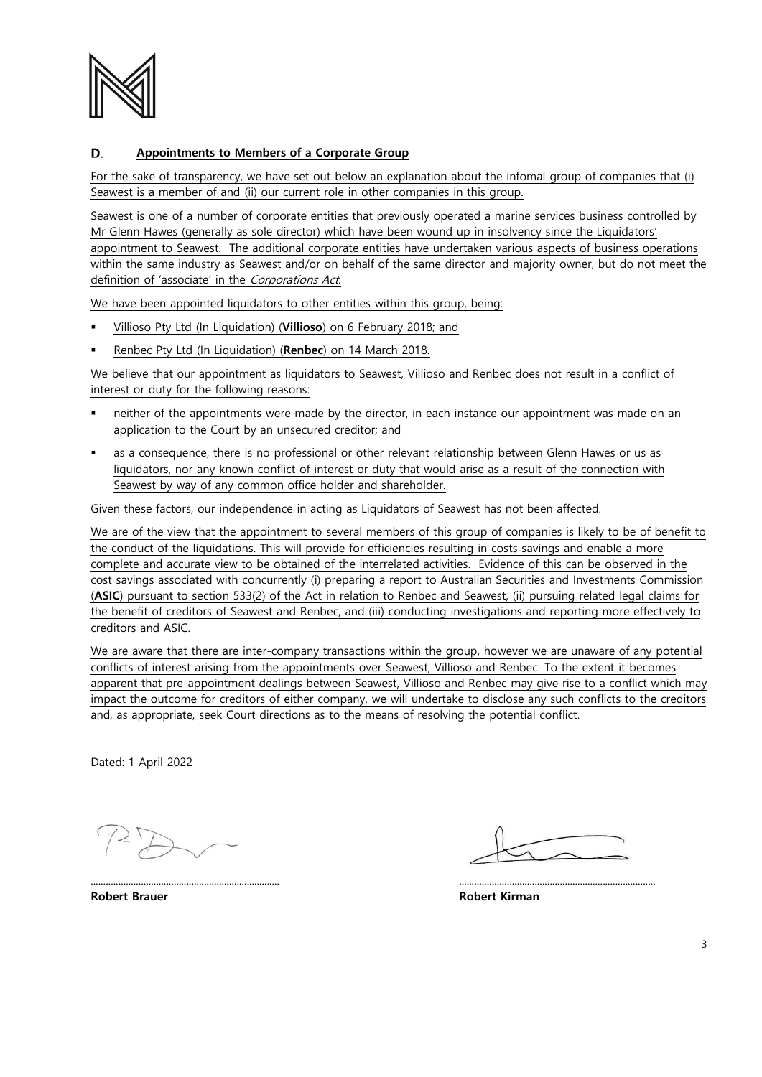

## D. **Appointments to Members of a Corporate Group**

For the sake of transparency, we have set out below an explanation about the infomal group of companies that (i) Seawest is a member of and (ii) our current role in other companies in this group.

Seawest is one of a number of corporate entities that previously operated a marine services business controlled by Mr Glenn Hawes (generally as sole director) which have been wound up in insolvency since the Liquidators' appointment to Seawest. The additional corporate entities have undertaken various aspects of business operations within the same industry as Seawest and/or on behalf of the same director and majority owner, but do not meet the definition of 'associate' in the Corporations Act.

We have been appointed liquidators to other entities within this group, being:

- Villioso Pty Ltd (In Liquidation) (**Villioso**) on 6 February 2018; and
- Renbec Pty Ltd (In Liquidation) (**Renbec**) on 14 March 2018.

We believe that our appointment as liquidators to Seawest, Villioso and Renbec does not result in a conflict of interest or duty for the following reasons:

- neither of the appointments were made by the director, in each instance our appointment was made on an application to the Court by an unsecured creditor; and
- as a consequence, there is no professional or other relevant relationship between Glenn Hawes or us as liquidators, nor any known conflict of interest or duty that would arise as a result of the connection with Seawest by way of any common office holder and shareholder.

Given these factors, our independence in acting as Liquidators of Seawest has not been affected.

We are of the view that the appointment to several members of this group of companies is likely to be of benefit to the conduct of the liquidations. This will provide for efficiencies resulting in costs savings and enable a more complete and accurate view to be obtained of the interrelated activities. Evidence of this can be observed in the cost savings associated with concurrently (i) preparing a report to Australian Securities and Investments Commission (**ASIC**) pursuant to section 533(2) of the Act in relation to Renbec and Seawest, (ii) pursuing related legal claims for the benefit of creditors of Seawest and Renbec, and (iii) conducting investigations and reporting more effectively to creditors and ASIC.

We are aware that there are inter-company transactions within the group, however we are unaware of any potential conflicts of interest arising from the appointments over Seawest, Villioso and Renbec. To the extent it becomes apparent that pre-appointment dealings between Seawest, Villioso and Renbec may give rise to a conflict which may impact the outcome for creditors of either company, we will undertake to disclose any such conflicts to the creditors and, as appropriate, seek Court directions as to the means of resolving the potential conflict.

........................................................................... ..............................................................................

Dated: 1 April 2022

**Robert Brauer Robert Kirman**